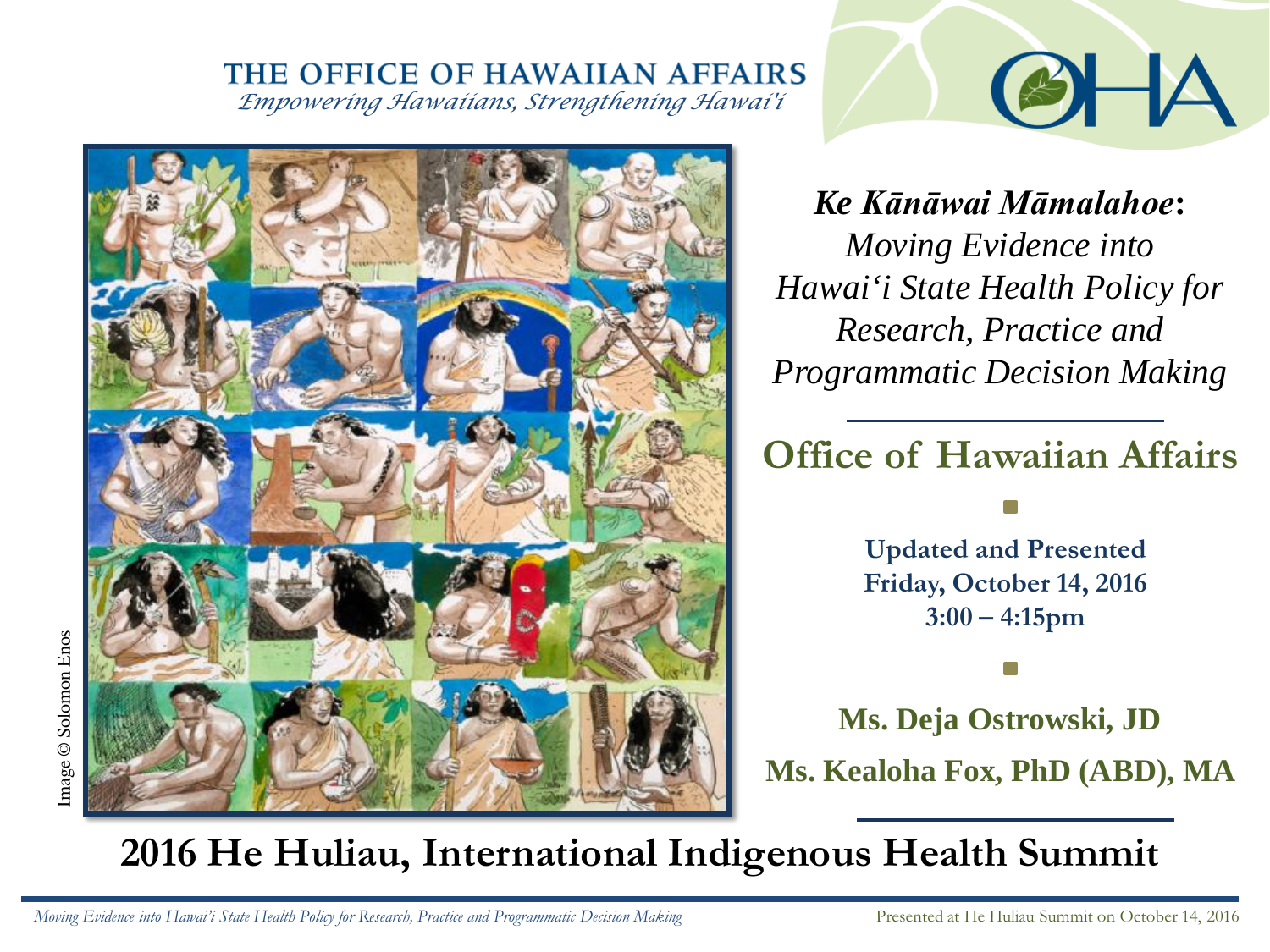*Empowering Hawaiians, Strengthening Hawai'i*



*Ke Kānāwai Māmalahoe***:**  *Moving Evidence into Hawai'i State Health Policy for Research, Practice and Programmatic Decision Making* 

 $\mathscr{E}$ 

# **Office of Hawaiian Affairs**

**Updated and Presented Friday, October 14, 2016 3:00 – 4:15pm**

**Ms. Kealoha Fox, PhD (ABD), MA Ms. Deja Ostrowski, JD**

# **2016 He Huliau, International Indigenous Health Summit**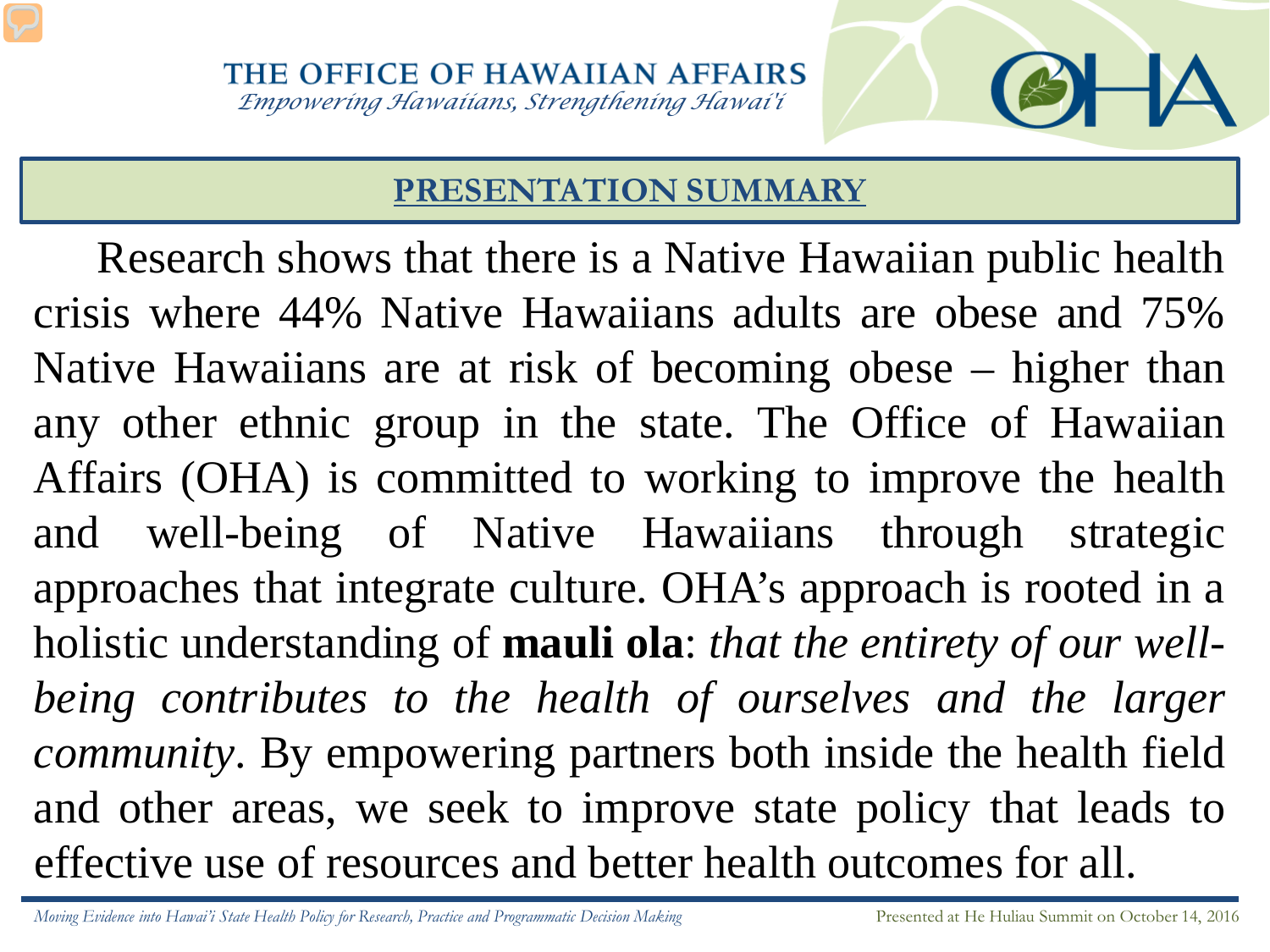# **PRESENTATION SUMMARY**

Research shows that there is a Native Hawaiian public health crisis where 44% Native Hawaiians adults are obese and 75% Native Hawaiians are at risk of becoming obese – higher than any other ethnic group in the state. The Office of Hawaiian Affairs (OHA) is committed to working to improve the health and well-being of Native Hawaiians through strategic approaches that integrate culture. OHA's approach is rooted in a holistic understanding of **mauli ola**: *that the entirety of our wellbeing contributes to the health of ourselves and the larger community*. By empowering partners both inside the health field and other areas, we seek to improve state policy that leads to effective use of resources and better health outcomes for all.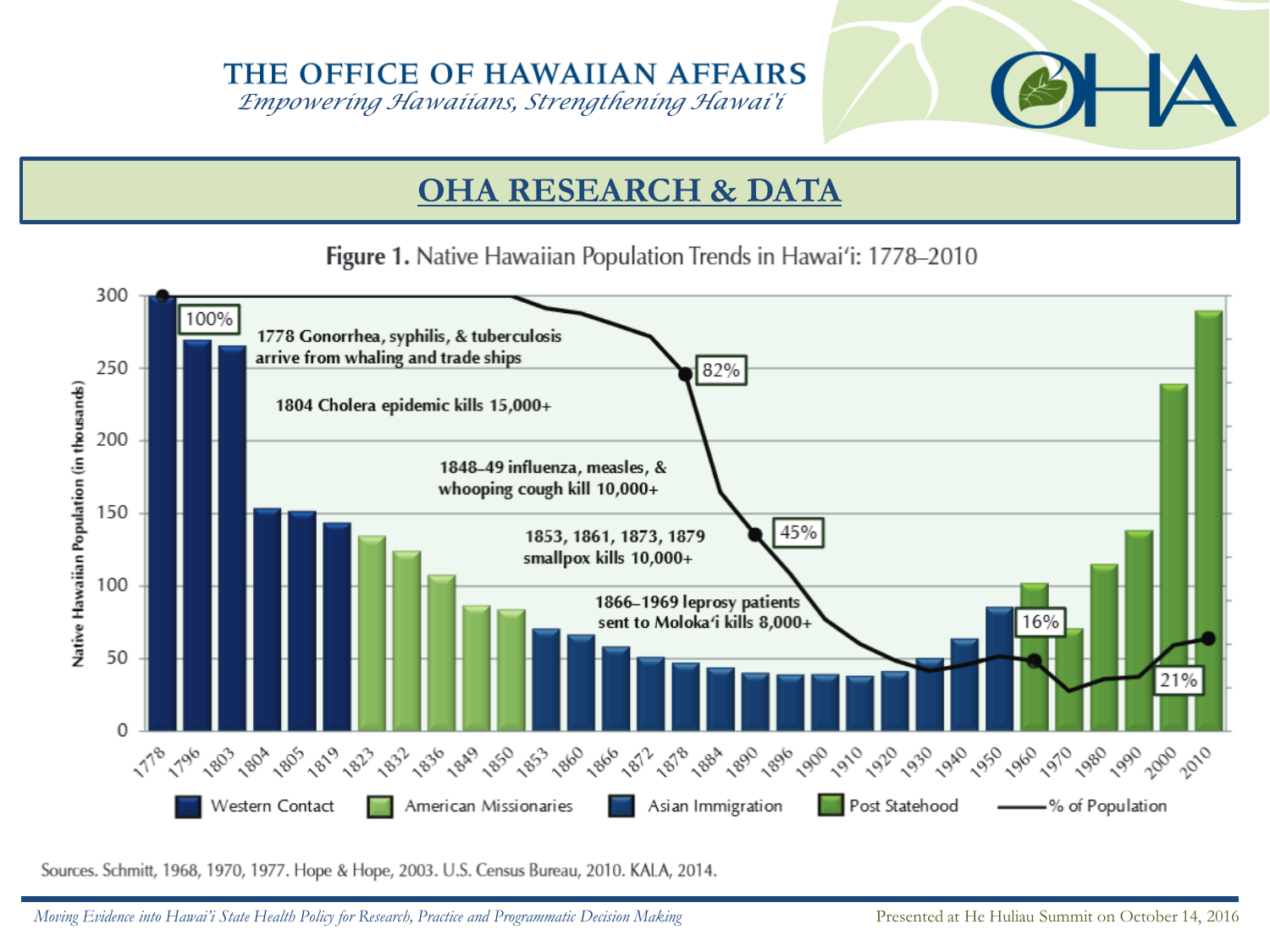*Empowering Hawaiians, Strengthening Hawai'i*

## **OHA RESEARCH & DATA**

Figure 1. Native Hawaiian Population Trends in Hawai'i: 1778–2010



Sources. Schmitt, 1968, 1970, 1977. Hope & Hope, 2003. U.S. Census Bureau, 2010. KALA, 2014.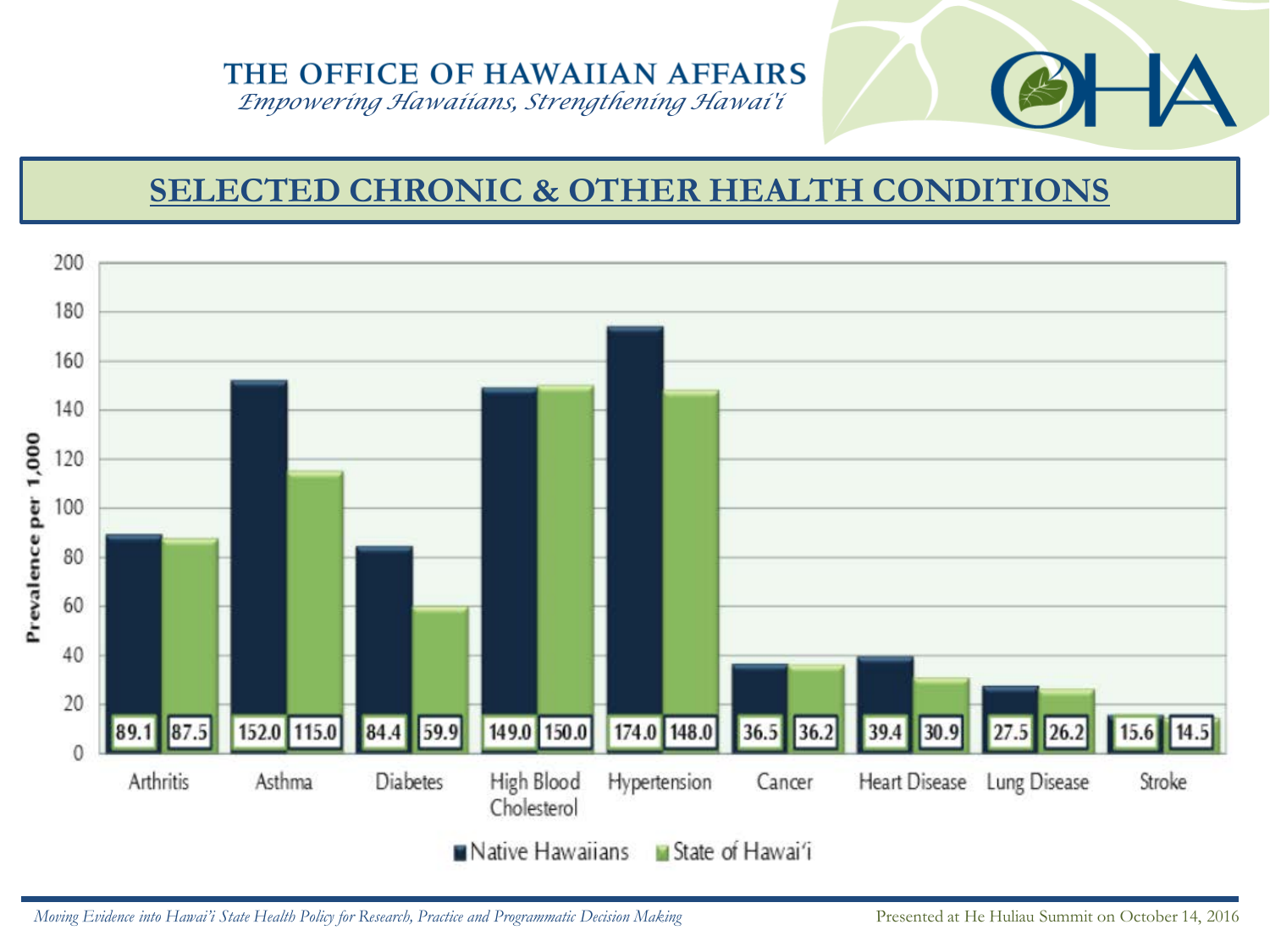*Empowering Hawaiians, Strengthening Hawai'i*

# **SELECTED CHRONIC & OTHER HEALTH CONDITIONS**

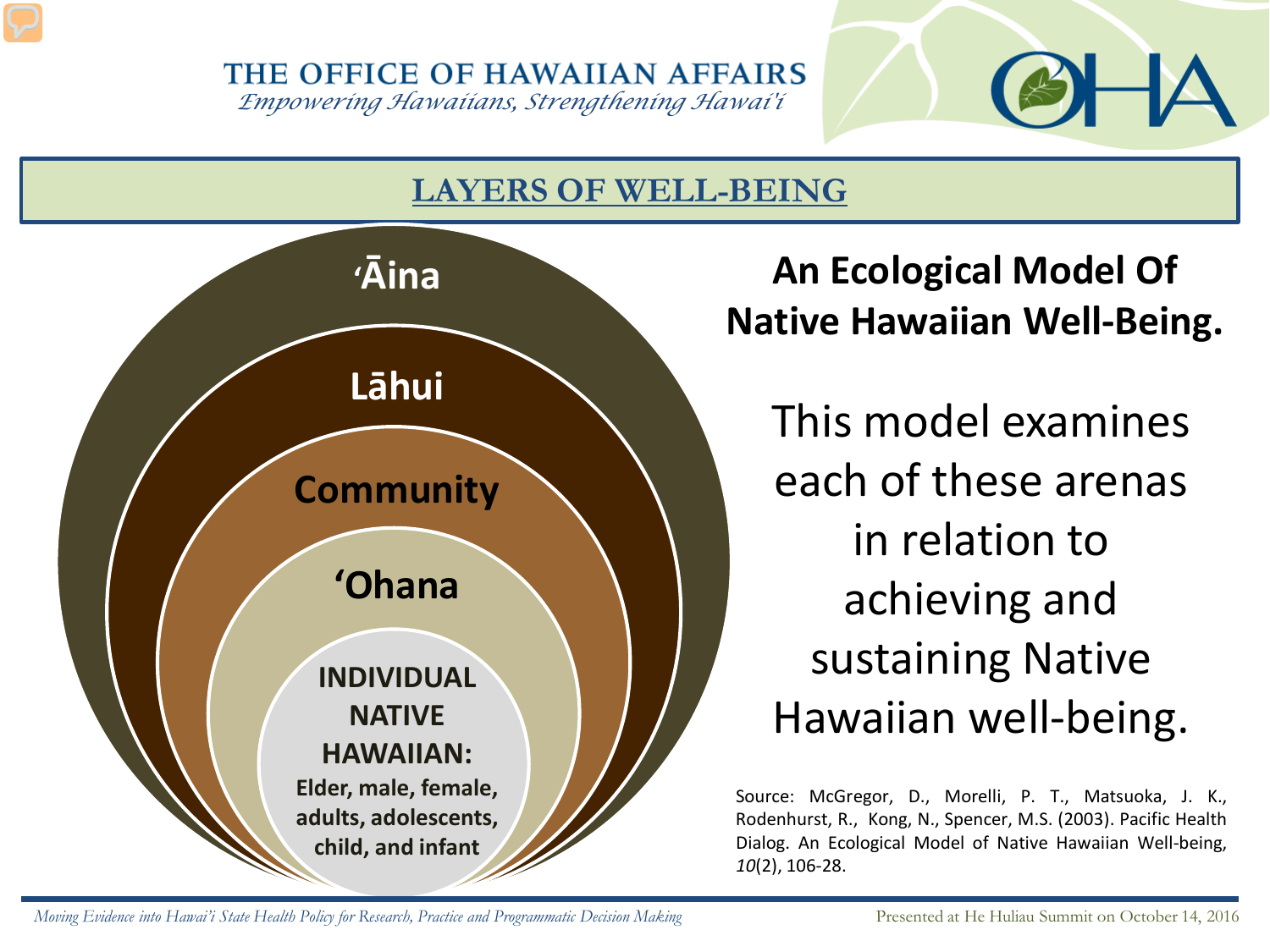*Empowering Hawaiians, Strengthening Hawai'i*

# **LAYERS OF WELL-BEING**



*A* **An Ecological Model Of Native Hawaiian Well-Being.**

> This model examines each of these arenas in relation to achieving and sustaining Native Hawaiian well-being.

Source: McGregor, D., Morelli, P. T., Matsuoka, J. K., Rodenhurst, R., Kong, N., Spencer, M.S. (2003). Pacific Health Dialog. An Ecological Model of Native Hawaiian Well-being, *10*(2), 106-28.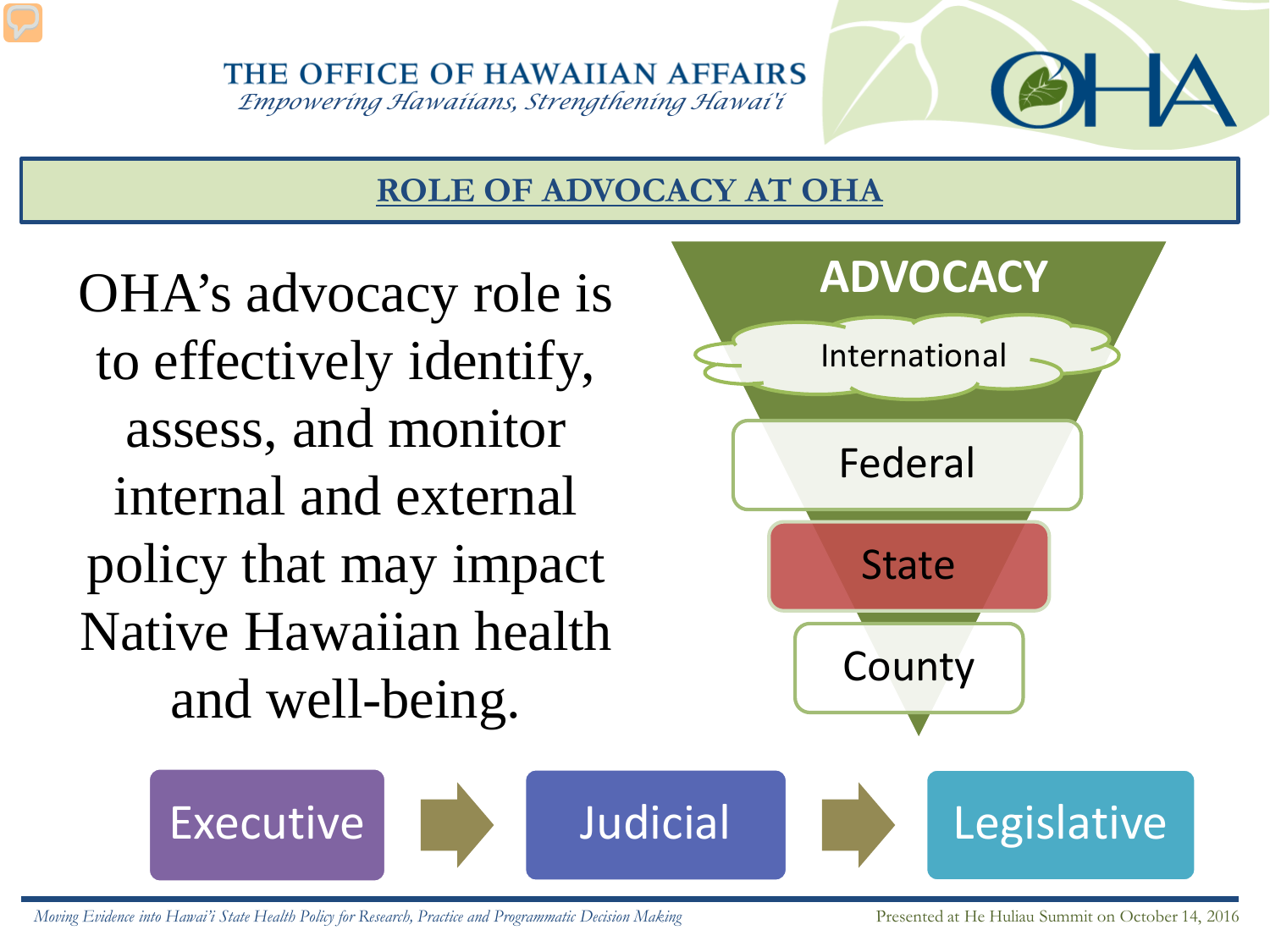*Empowering Hawaiians, Strengthening Hawai'i*

## **ROLE OF ADVOCACY AT OHA**

OHA's advocacy role is to effectively identify, assess, and monitor internal and external policy that may impact Native Hawaiian health and well-being.

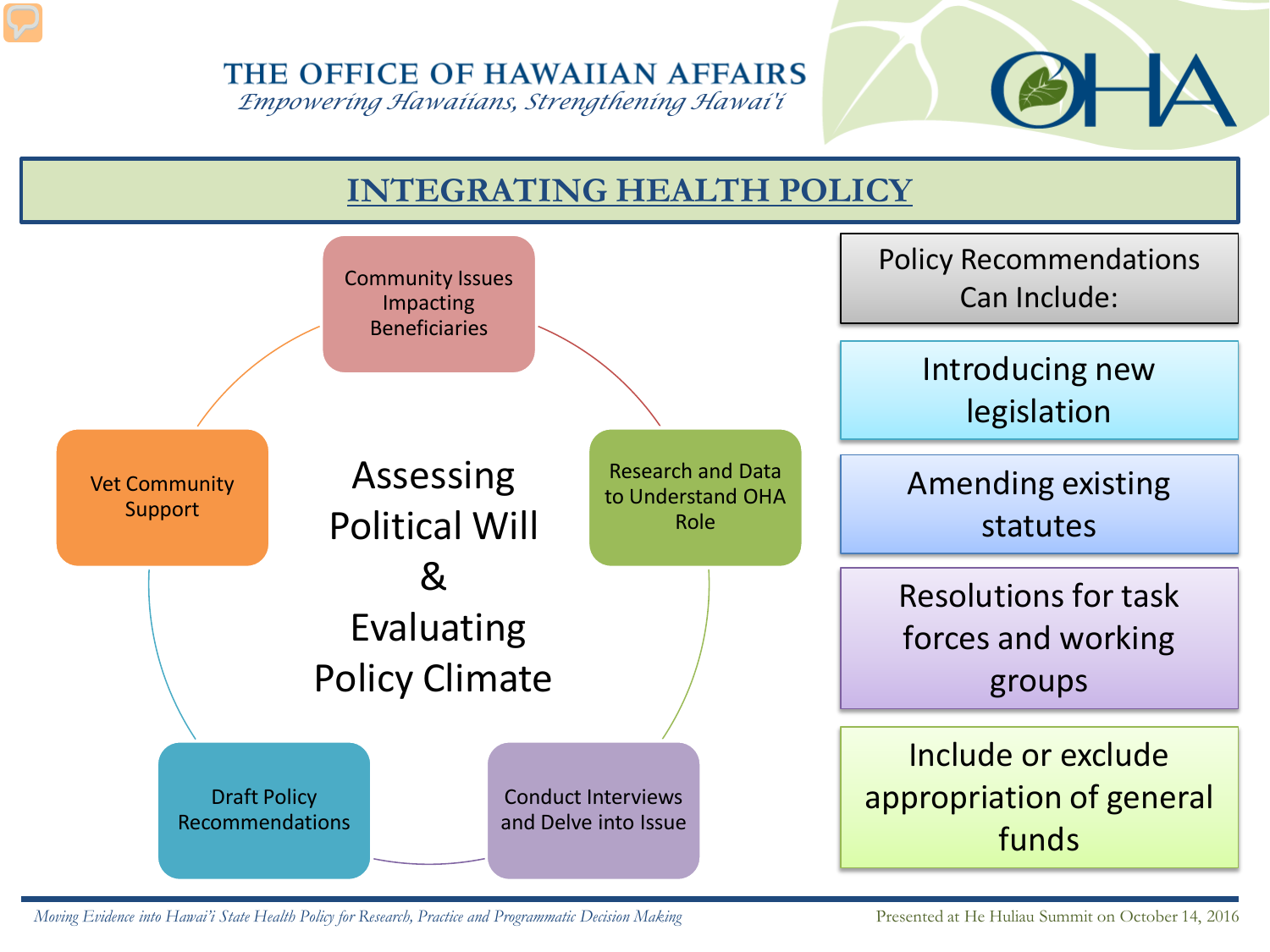*Empowering Hawaiians, Strengthening Hawai'i*



# **INTEGRATING HEALTH POLICY**

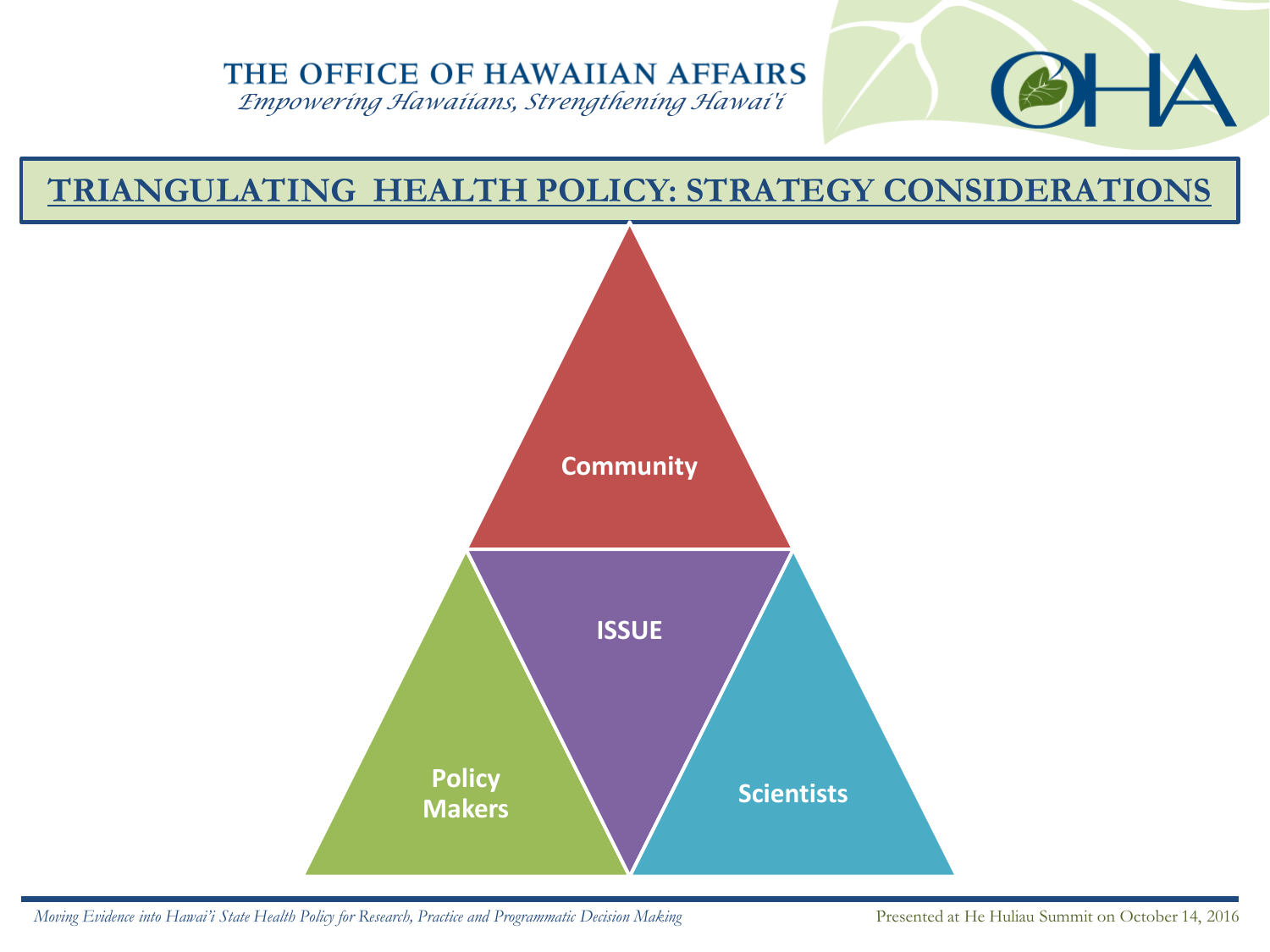*Empowering Hawaiians, Strengthening Hawai'i*

# **TRIANGULATING HEALTH POLICY: STRATEGY CONSIDERATIONS**

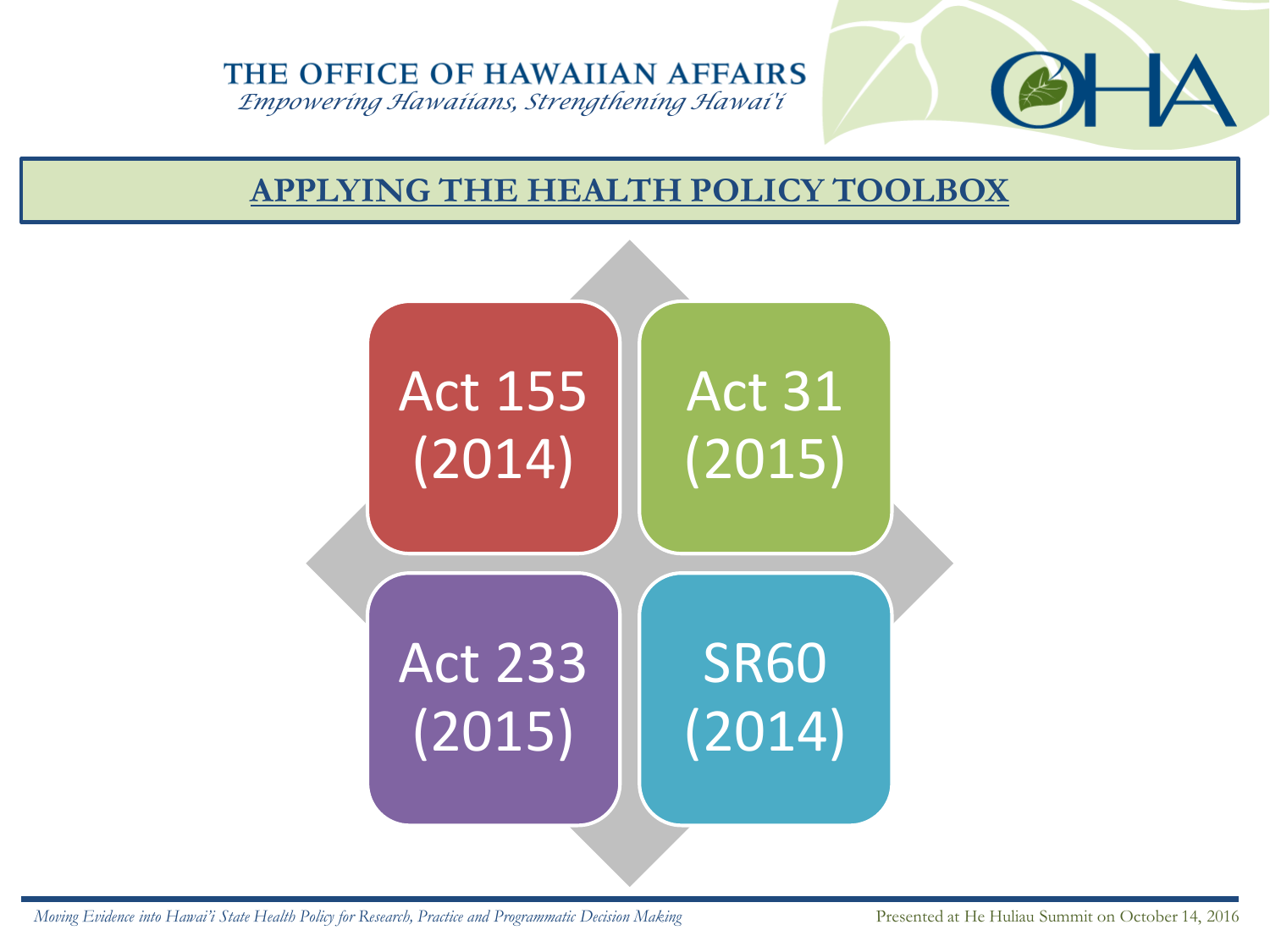*Empowering Hawaiians, Strengthening Hawai'i*

## **APPLYING THE HEALTH POLICY TOOLBOX**

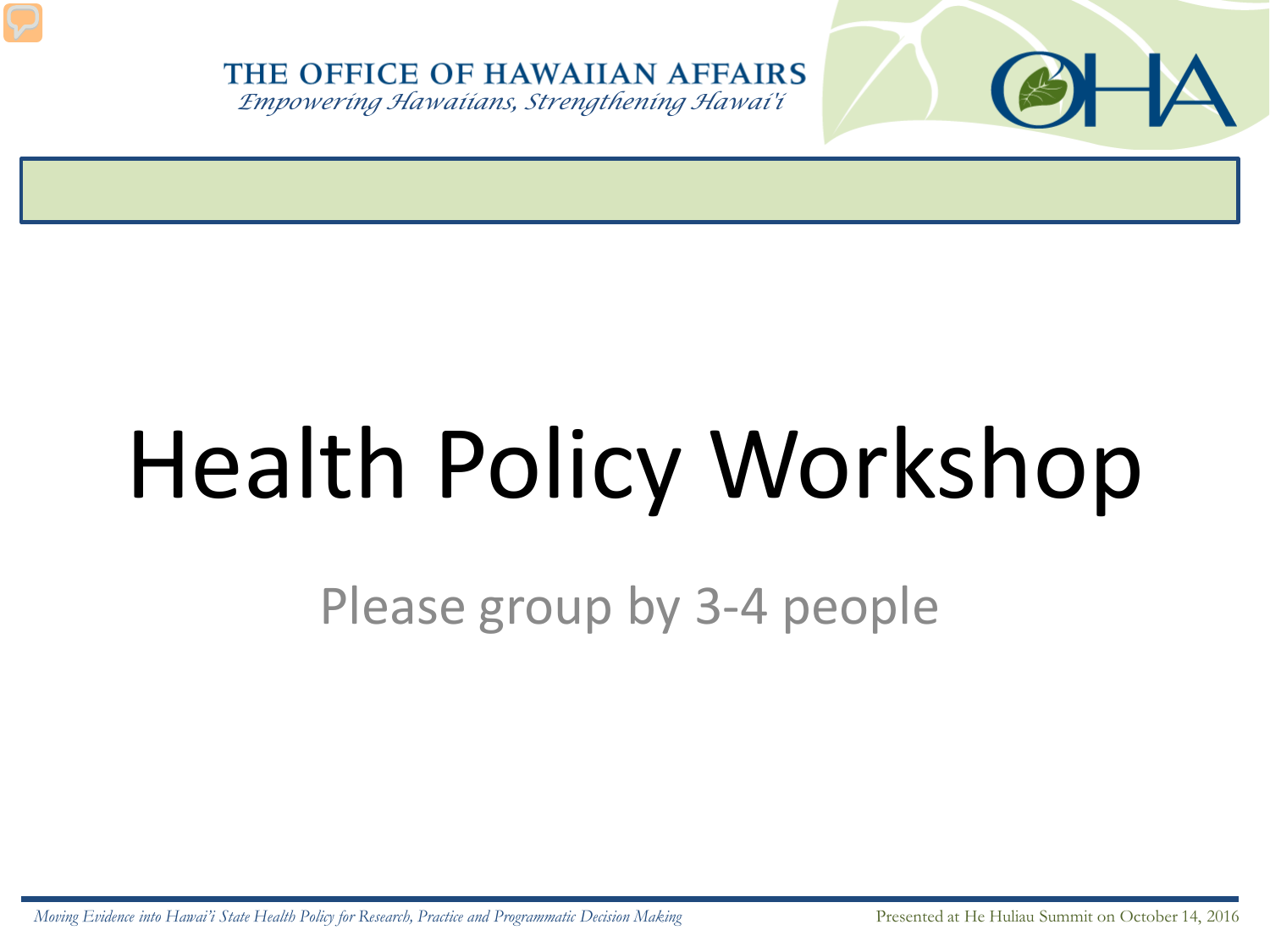*Empowering Hawaiians, Strengthening Hawai'i*

# Health Policy Workshop

Please group by 3-4 people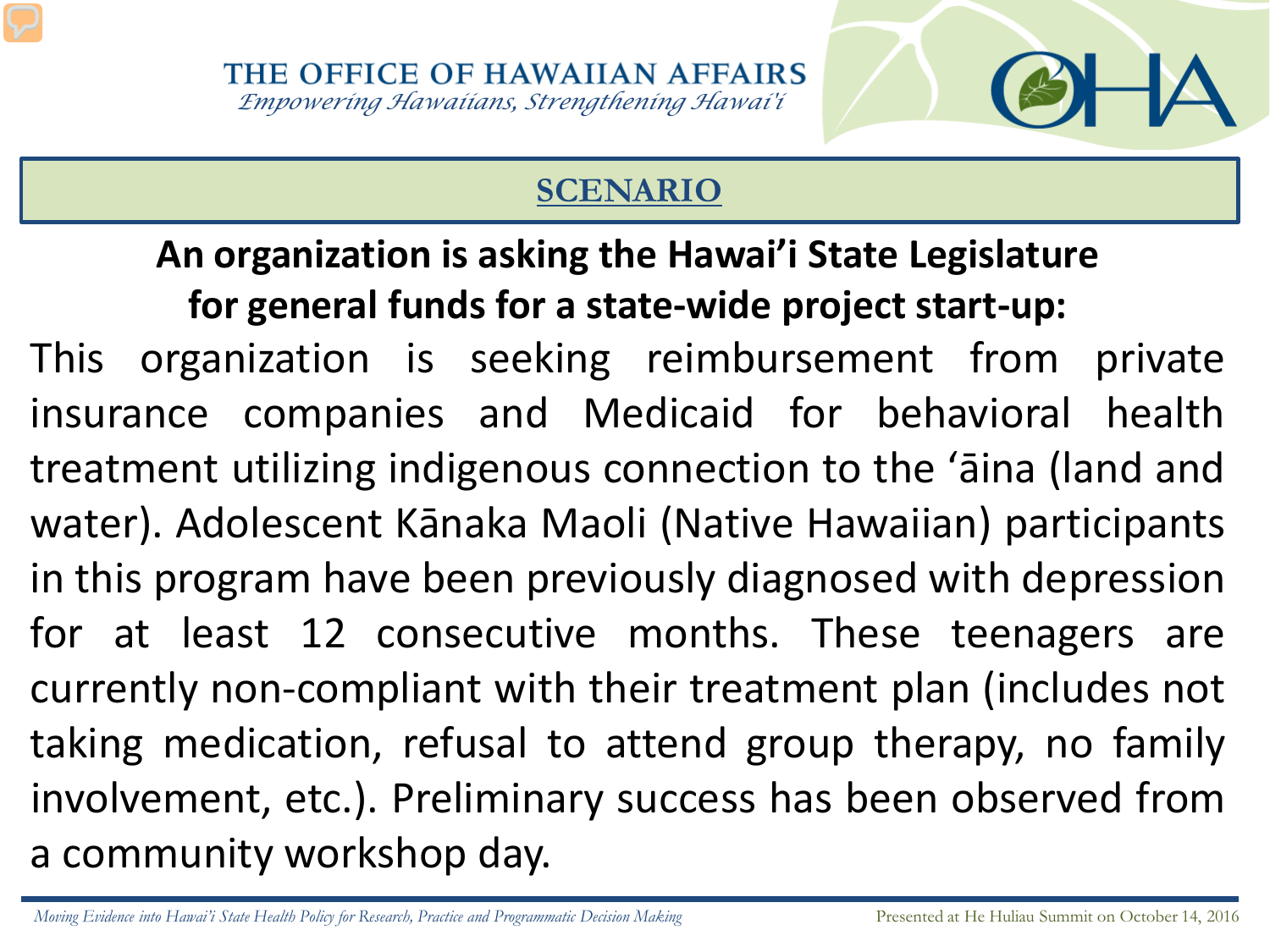# **SCENARIO**

# **An organization is asking the Hawai'i State Legislature for general funds for a state-wide project start-up:**

This organization is seeking reimbursement from private insurance companies and Medicaid for behavioral health treatment utilizing indigenous connection to the ʻāina (land and water). Adolescent Kānaka Maoli (Native Hawaiian) participants in this program have been previously diagnosed with depression for at least 12 consecutive months. These teenagers are currently non-compliant with their treatment plan (includes not taking medication, refusal to attend group therapy, no family involvement, etc.). Preliminary success has been observed from a community workshop day.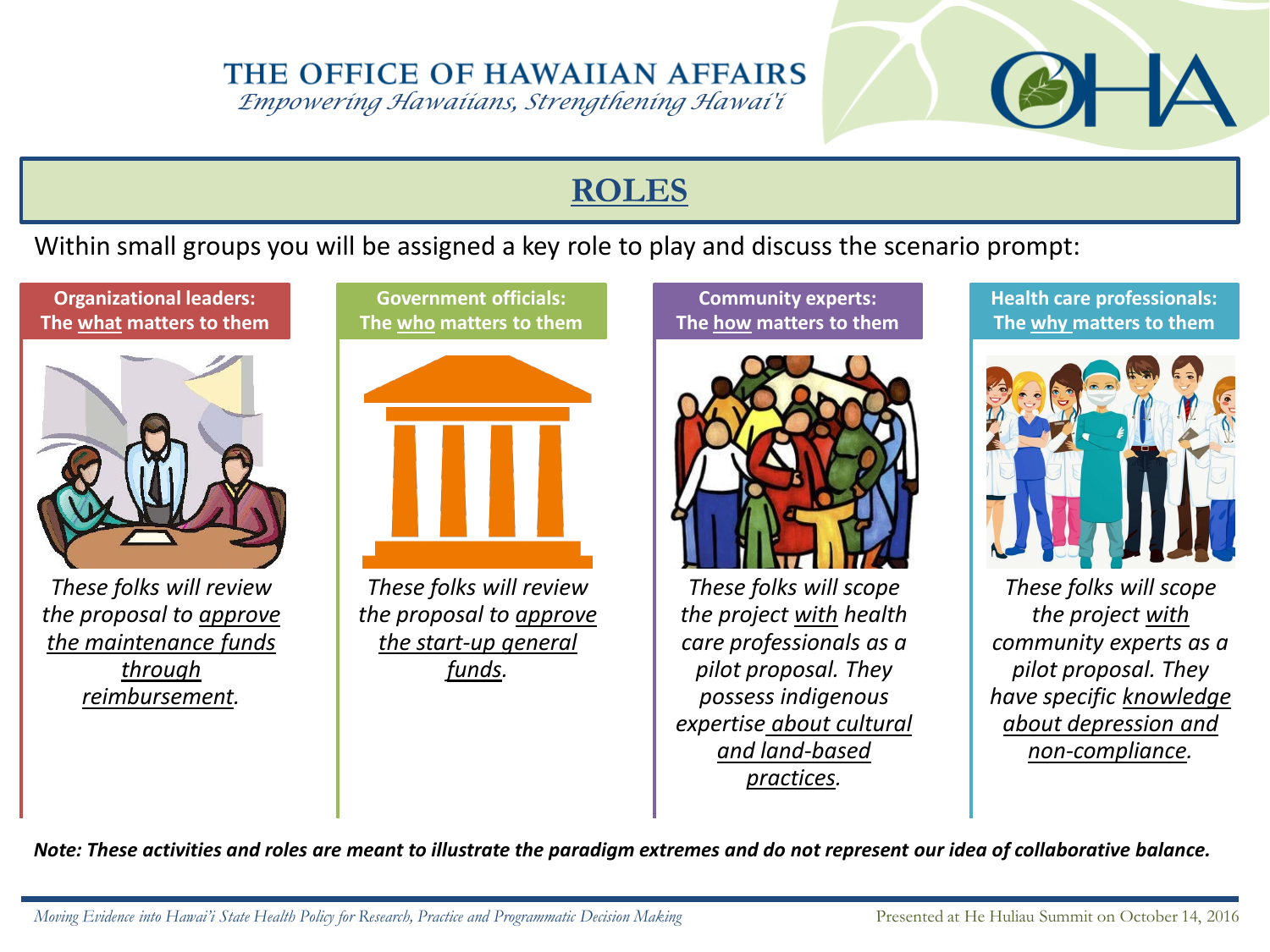*Empowering Hawaiians, Strengthening Hawai'i*

#### **ROLES**

#### Within small groups you will be assigned a key role to play and discuss the scenario prompt:





*These folks will review the proposal to approve the maintenance funds through reimbursement.*

**Government officials: The who matters to them**

*These folks will review the proposal to approve the start-up general funds.* 

**Community experts: The how matters to them**



*These folks will scope the project with health care professionals as a pilot proposal. They possess indigenous expertise about cultural and land-based practices.*

**Health care professionals: The why matters to them**



*These folks will scope the project with community experts as a pilot proposal. They have specific knowledge about depression and non-compliance.*

*Note: These activities and roles are meant to illustrate the paradigm extremes and do not represent our idea of collaborative balance.*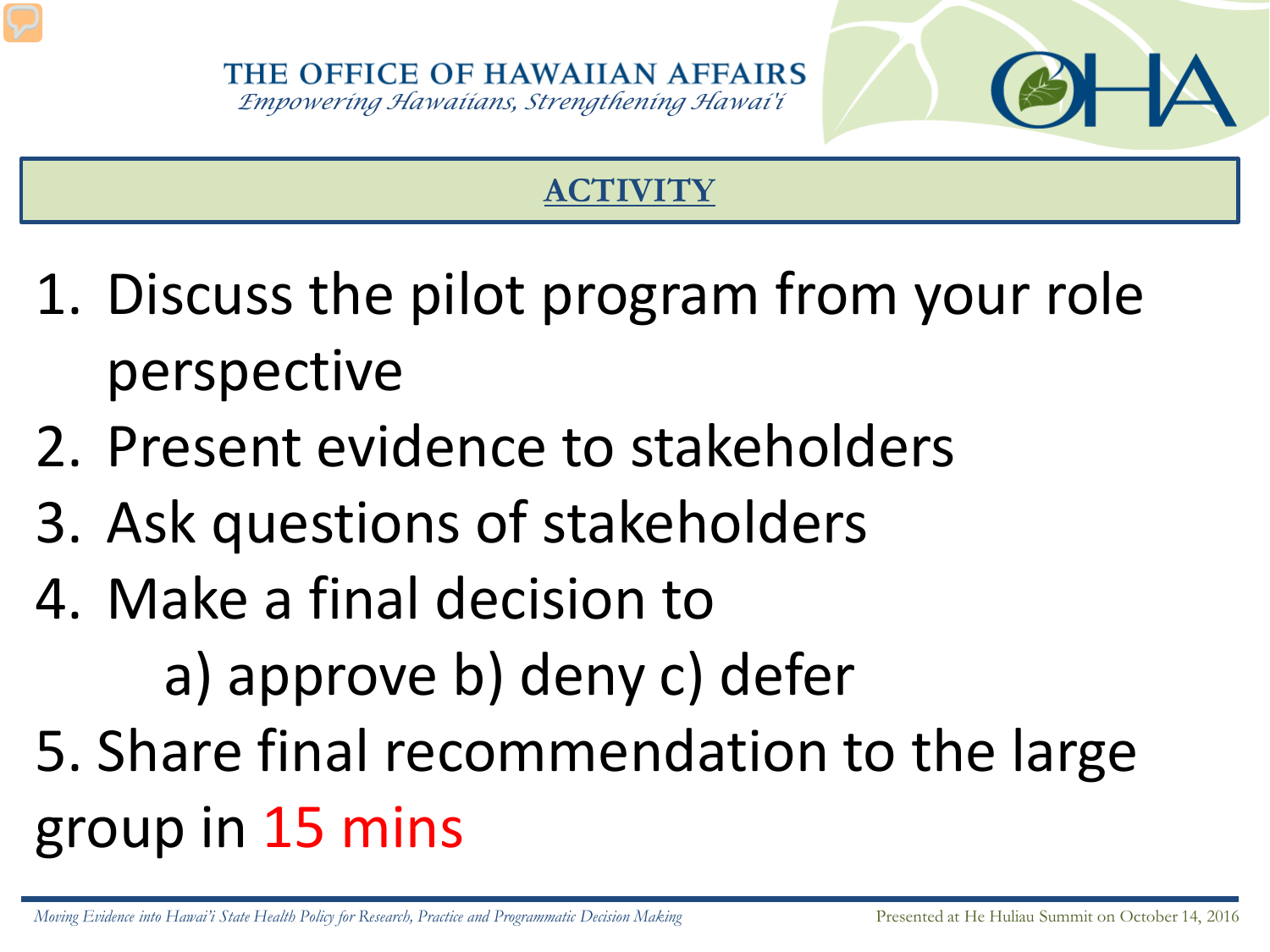# **ACTIVITY**

- 1. Discuss the pilot program from your role perspective
- 2. Present evidence to stakeholders
- 3. Ask questions of stakeholders
- 4. Make a final decision to

a) approve b) deny c) defer

5. Share final recommendation to the large group in 15 mins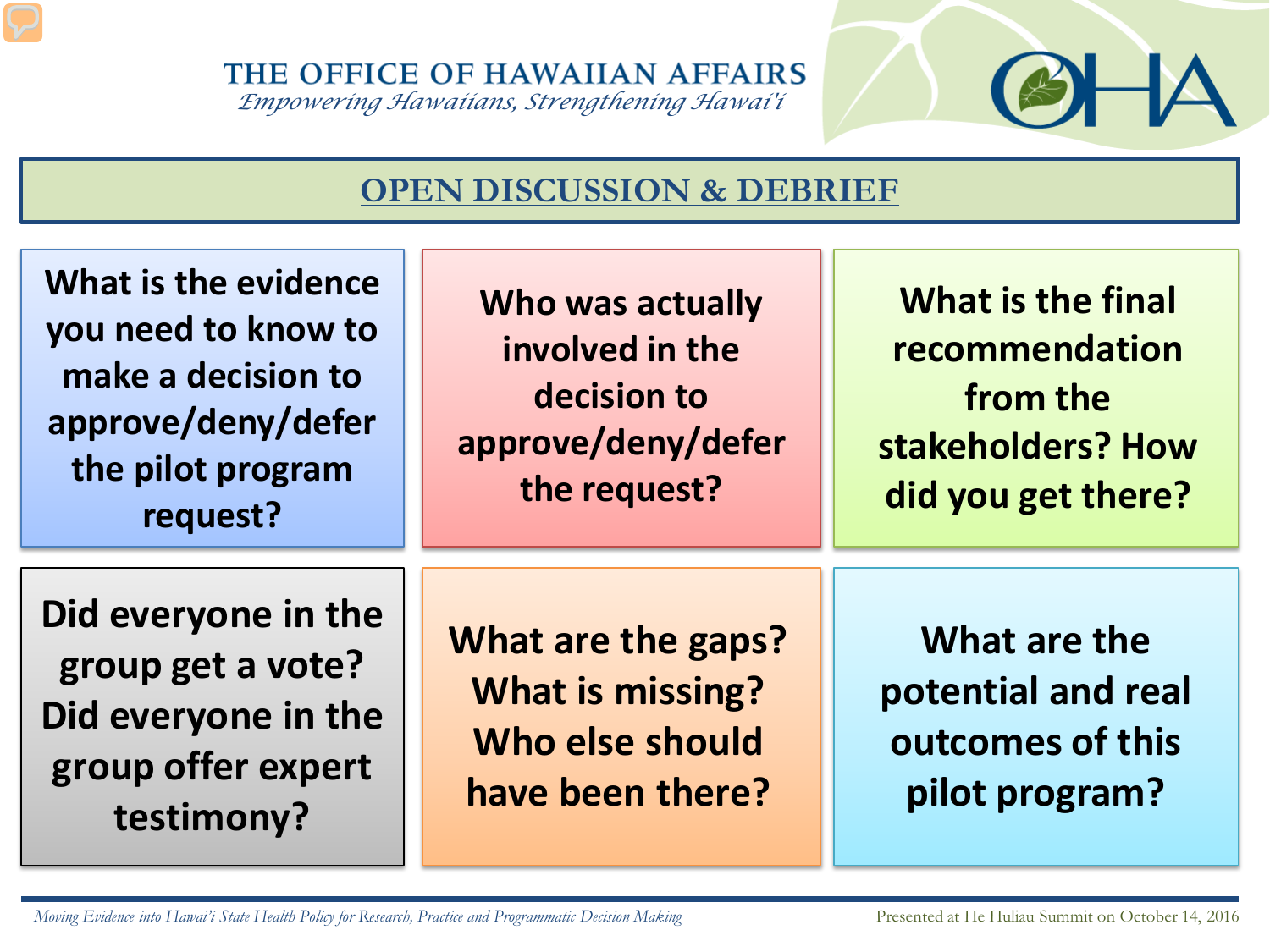THE OFFICE OF HAWAIIAN AFFAIRS *Empowering Hawaiians, Strengthening Hawai'i*



| What is the evidence<br>you need to know to<br>make a decision to<br>approve/deny/defer<br>the pilot program<br>request? | Who was actually<br>involved in the<br>decision to<br>approve/deny/defer<br>the request? | <b>What is the final</b><br>recommendation<br>from the<br>stakeholders? How<br>did you get there? |
|--------------------------------------------------------------------------------------------------------------------------|------------------------------------------------------------------------------------------|---------------------------------------------------------------------------------------------------|
| Did everyone in the<br>group get a vote?<br>Did everyone in the<br>group offer expert<br>testimony?                      | What are the gaps?<br><b>What is missing?</b><br>Who else should<br>have been there?     | What are the<br>potential and real<br>outcomes of this<br>pilot program?                          |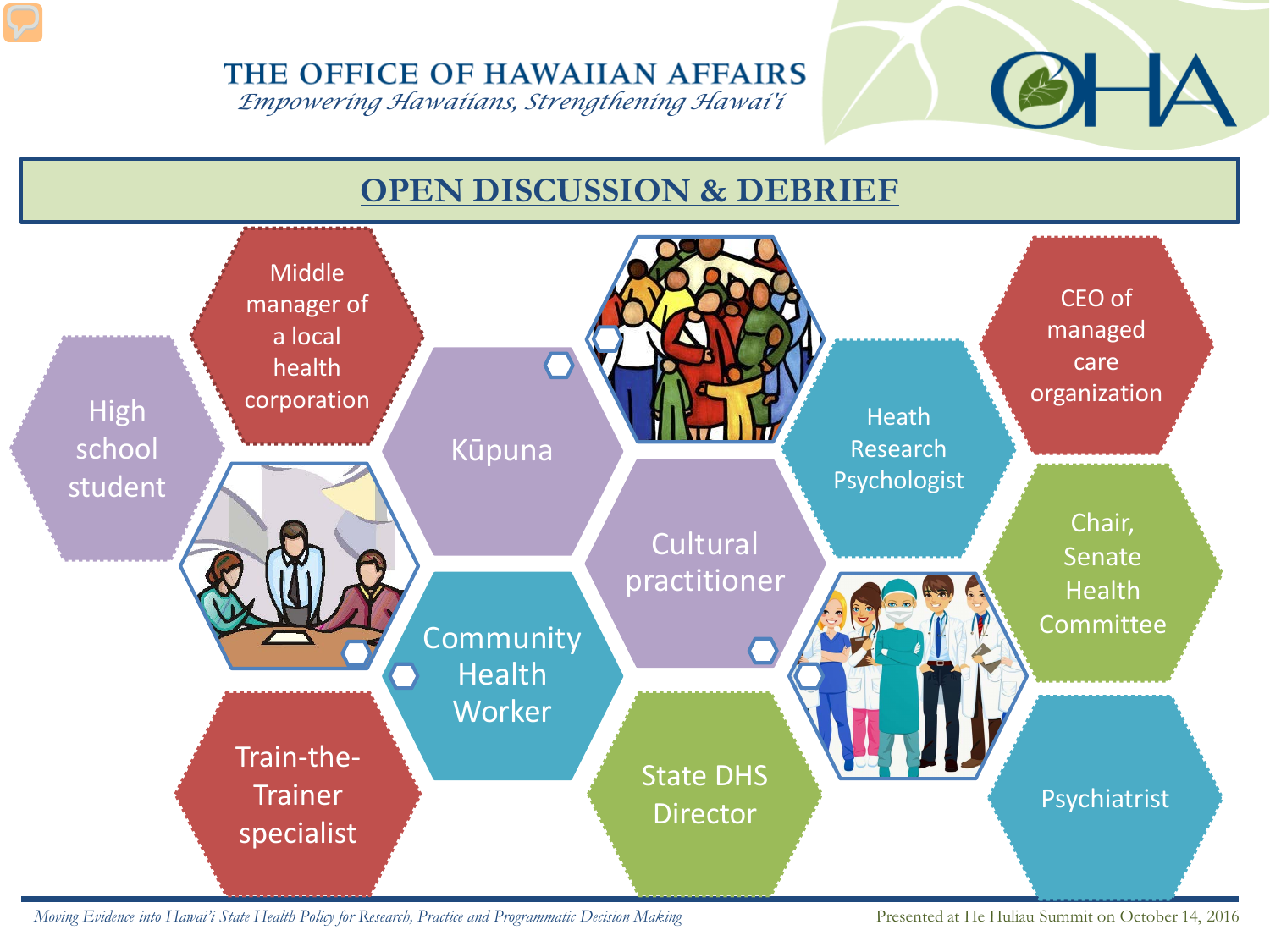*Empowering Hawaiians, Strengthening Hawai'i*



*Moving Evidence into Hawai'i State Health Policy for Research, Practice and Programmatic Decision Making* Presented at He Huliau Summit on October 14, 2016

۳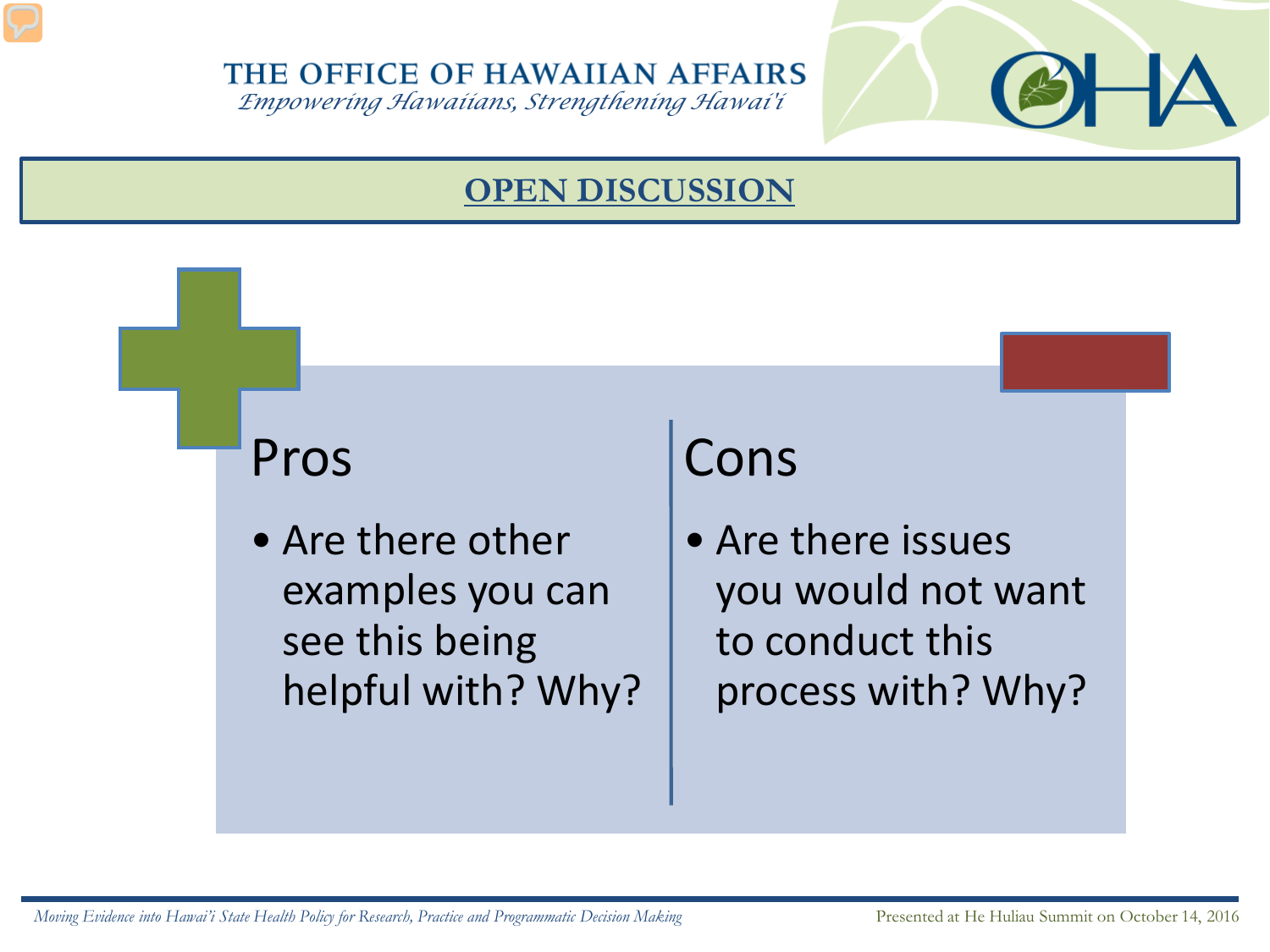*Empowering Hawaiians, Strengthening Hawai'i*

# **OPEN DISCUSSION**

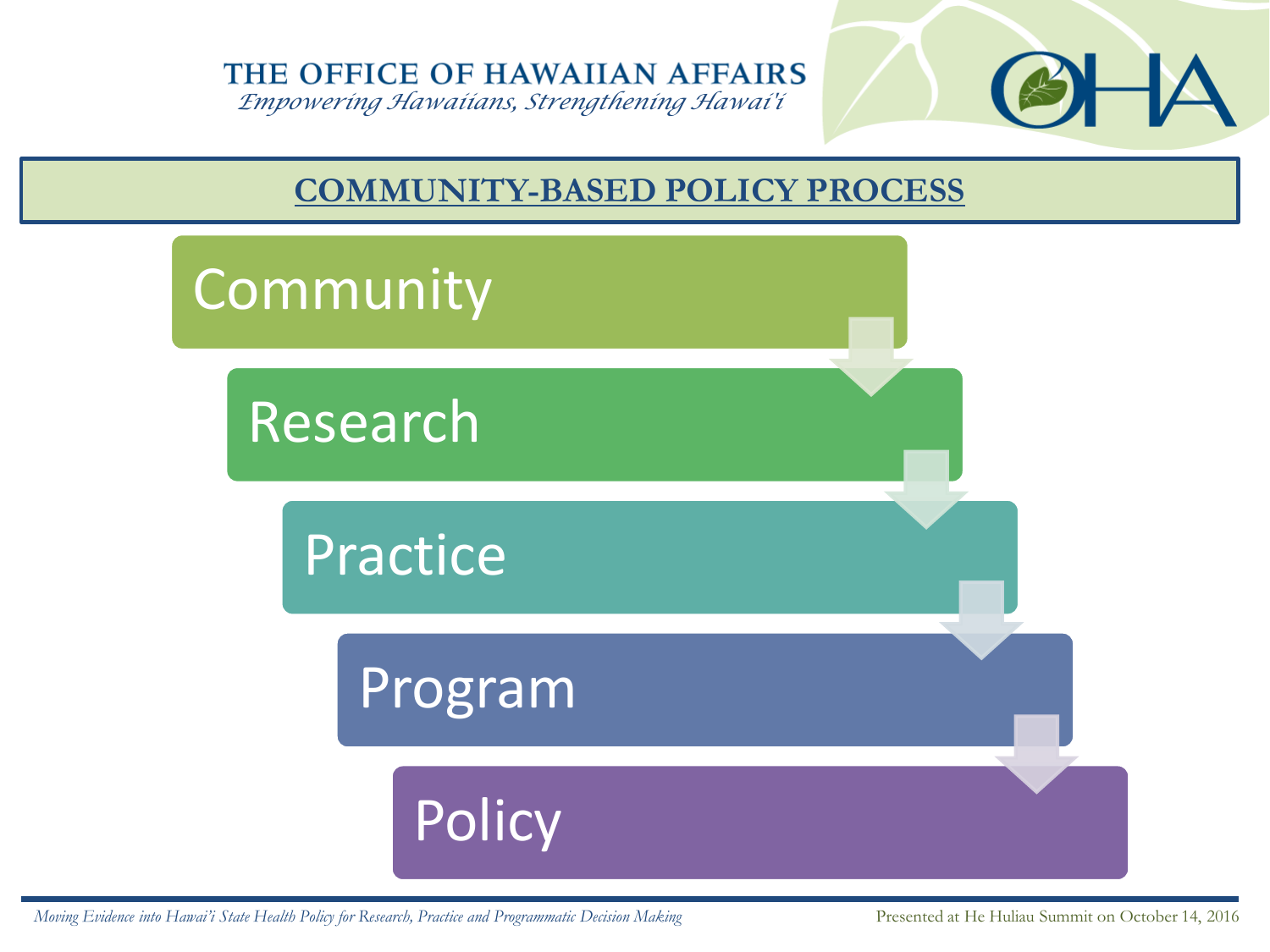*Empowering Hawaiians, Strengthening Hawai'i*



## **COMMUNITY-BASED POLICY PROCESS**